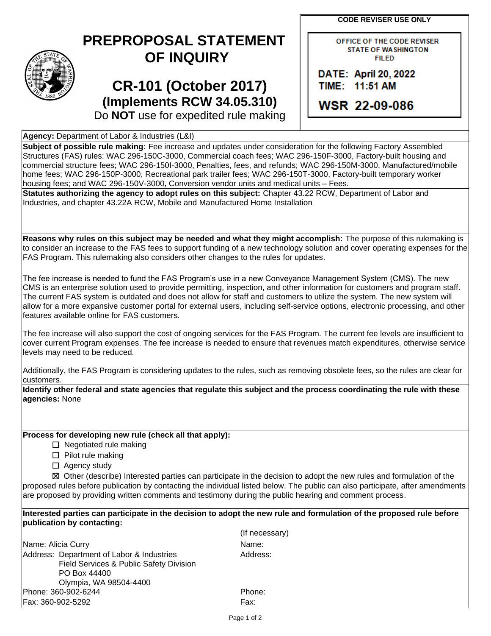**CODE REVISER USE ONLY**

## **PREPROPOSAL STATEMENT OF INQUIRY**

## **CR-101 (October 2017) (Implements RCW 34.05.310)** Do **NOT** use for expedited rule making

OFFICE OF THE CODE REVISER **STATE OF WASHINGTON FILED** 

DATE: April 20, 2022 TIME: 11:51 AM

**WSR 22-09-086** 

**Agency:** Department of Labor & Industries (L&I)

**Subject of possible rule making:** Fee increase and updates under consideration for the following Factory Assembled Structures (FAS) rules: WAC 296-150C-3000, Commercial coach fees; WAC 296-150F-3000, Factory-built housing and commercial structure fees; WAC 296-150I-3000, Penalties, fees, and refunds; WAC 296-150M-3000, Manufactured/mobile home fees; WAC 296-150P-3000, Recreational park trailer fees; WAC 296-150T-3000, Factory-built temporary worker housing fees; and WAC 296-150V-3000, Conversion vendor units and medical units – Fees.

**Statutes authorizing the agency to adopt rules on this subject:** Chapter 43.22 RCW, Department of Labor and Industries, and chapter 43.22A RCW, Mobile and Manufactured Home Installation

**Reasons why rules on this subject may be needed and what they might accomplish:** The purpose of this rulemaking is to consider an increase to the FAS fees to support funding of a new technology solution and cover operating expenses for the FAS Program. This rulemaking also considers other changes to the rules for updates.

The fee increase is needed to fund the FAS Program's use in a new Conveyance Management System (CMS). The new CMS is an enterprise solution used to provide permitting, inspection, and other information for customers and program staff. The current FAS system is outdated and does not allow for staff and customers to utilize the system. The new system will allow for a more expansive customer portal for external users, including self-service options, electronic processing, and other features available online for FAS customers.

The fee increase will also support the cost of ongoing services for the FAS Program. The current fee levels are insufficient to cover current Program expenses. The fee increase is needed to ensure that revenues match expenditures, otherwise service levels may need to be reduced.

Additionally, the FAS Program is considering updates to the rules, such as removing obsolete fees, so the rules are clear for customers.

**Identify other federal and state agencies that regulate this subject and the process coordinating the rule with these agencies:** None

**Process for developing new rule (check all that apply):**

 $\Box$  Negotiated rule making

☐ Pilot rule making

□ Agency study

☒ Other (describe) Interested parties can participate in the decision to adopt the new rules and formulation of the proposed rules before publication by contacting the individual listed below. The public can also participate, after amendments are proposed by providing written comments and testimony during the public hearing and comment process.

**Interested parties can participate in the decision to adopt the new rule and formulation of the proposed rule before publication by contacting:**

Name: Alicia Curry Name: Name: Name: Name: Name: Name: Name: Name: Name: Name: Name: Name: Name: Name: Name: Name: Name: Name: Name: Name: Name: Name: Name: Name: Name: Name: Name: Name: Name: Name: Name: Name: Name: Name: Address: Department of Labor & Industries Field Services & Public Safety Division PO Box 44400 Olympia, WA 98504-4400 Phone: 360-902-6244 **Phone:** Phone: Fax: 360-902-5292 Fax:

(If necessary) Address: